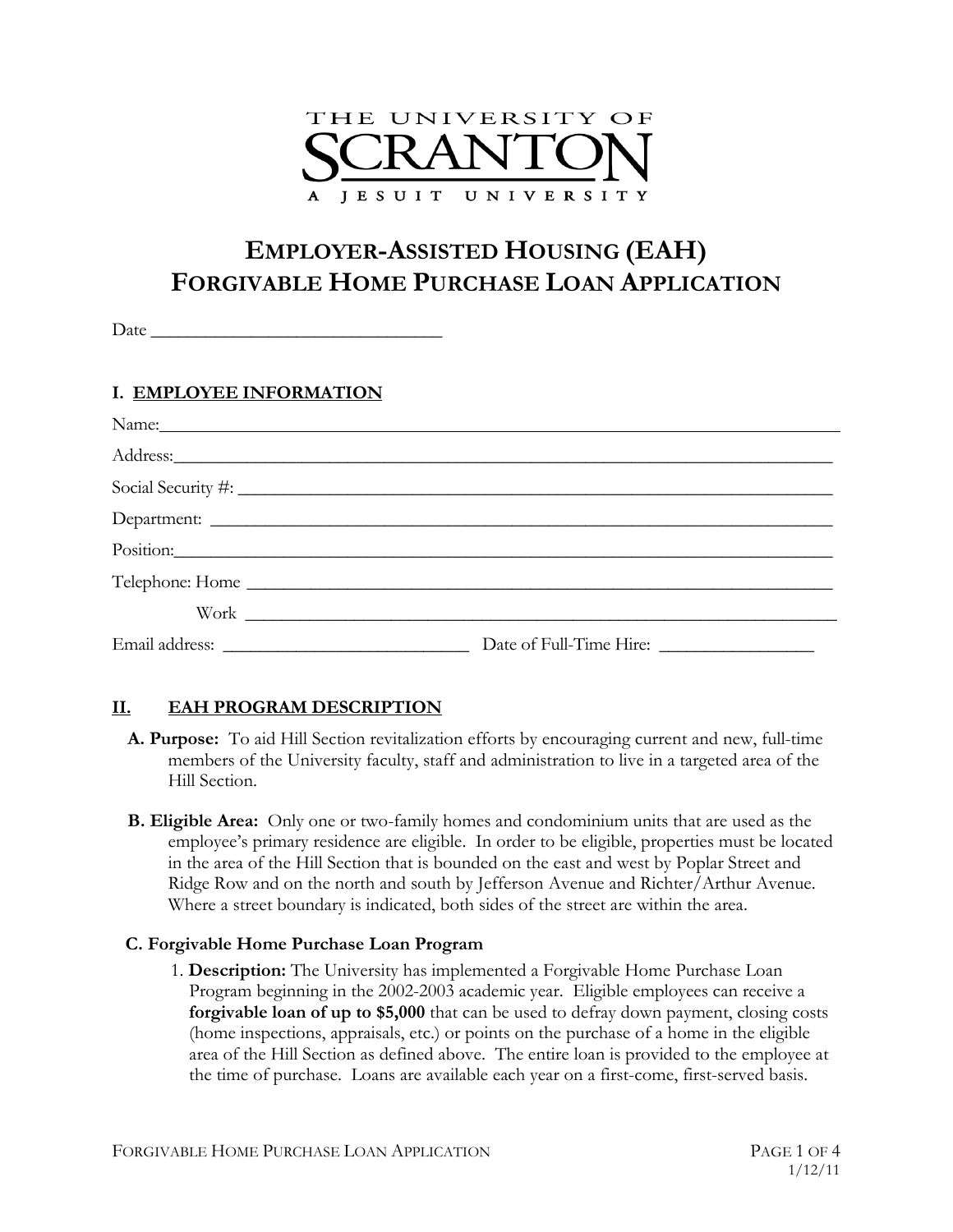

# **EMPLOYER-ASSISTED HOUSING (EAH) FORGIVABLE HOME PURCHASE LOAN APPLICATION**

Date

## **I. EMPLOYEE INFORMATION**

|           | Social Security #: |  |
|-----------|--------------------|--|
|           |                    |  |
| Position: |                    |  |
|           | Telephone: Home    |  |
|           |                    |  |
|           |                    |  |

## **II. EAH PROGRAM DESCRIPTION**

- **A. Purpose:** To aid Hill Section revitalization efforts by encouraging current and new, full-time members of the University faculty, staff and administration to live in a targeted area of the Hill Section.
- **B. Eligible Area:** Only one or two-family homes and condominium units that are used as the employee's primary residence are eligible. In order to be eligible, properties must be located in the area of the Hill Section that is bounded on the east and west by Poplar Street and Ridge Row and on the north and south by Jefferson Avenue and Richter/Arthur Avenue. Where a street boundary is indicated, both sides of the street are within the area.

#### **C. Forgivable Home Purchase Loan Program**

1. **Description:** The University has implemented a Forgivable Home Purchase Loan Program beginning in the 2002-2003 academic year. Eligible employees can receive a **forgivable loan of up to \$5,000** that can be used to defray down payment, closing costs (home inspections, appraisals, etc.) or points on the purchase of a home in the eligible area of the Hill Section as defined above. The entire loan is provided to the employee at the time of purchase. Loans are available each year on a first-come, first-served basis.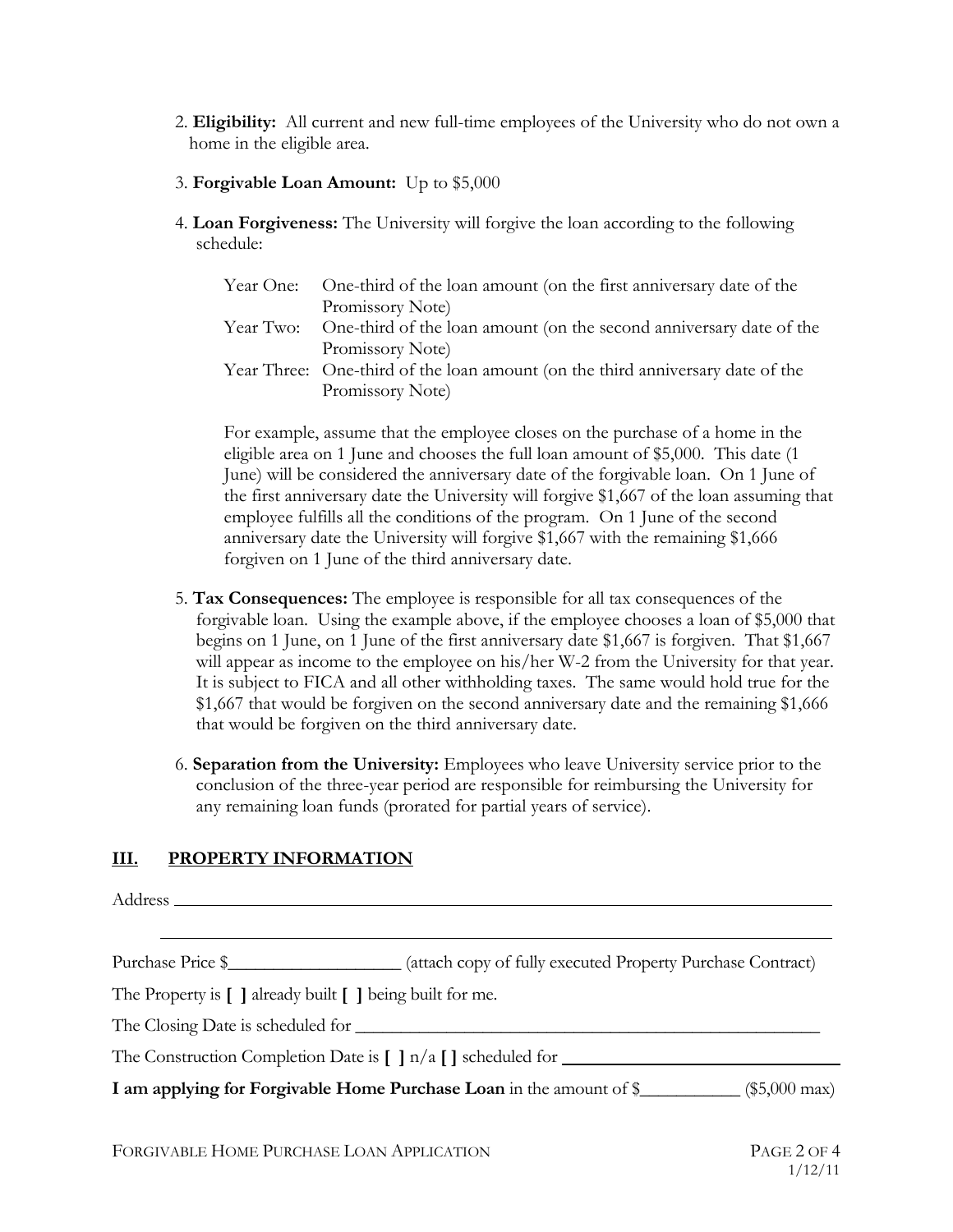- 2. **Eligibility:** All current and new full-time employees of the University who do not own a home in the eligible area.
- 3. **Forgivable Loan Amount:** Up to \$5,000
- 4. **Loan Forgiveness:** The University will forgive the loan according to the following schedule:

| Year One: One-third of the loan amount (on the first anniversary date of the   |
|--------------------------------------------------------------------------------|
| Promissory Note)                                                               |
| Year Two: One-third of the loan amount (on the second anniversary date of the  |
| Promissory Note)                                                               |
| Year Three: One-third of the loan amount (on the third anniversary date of the |
| Promissory Note)                                                               |
|                                                                                |

For example, assume that the employee closes on the purchase of a home in the eligible area on 1 June and chooses the full loan amount of \$5,000. This date (1 June) will be considered the anniversary date of the forgivable loan. On 1 June of the first anniversary date the University will forgive \$1,667 of the loan assuming that employee fulfills all the conditions of the program. On 1 June of the second anniversary date the University will forgive \$1,667 with the remaining \$1,666 forgiven on 1 June of the third anniversary date.

- 5. **Tax Consequences:** The employee is responsible for all tax consequences of the forgivable loan. Using the example above, if the employee chooses a loan of \$5,000 that begins on 1 June, on 1 June of the first anniversary date \$1,667 is forgiven. That \$1,667 will appear as income to the employee on his/her W-2 from the University for that year. It is subject to FICA and all other withholding taxes. The same would hold true for the \$1,667 that would be forgiven on the second anniversary date and the remaining \$1,666 that would be forgiven on the third anniversary date.
- 6. **Separation from the University:** Employees who leave University service prior to the conclusion of the three-year period are responsible for reimbursing the University for any remaining loan funds (prorated for partial years of service).

#### **III. PROPERTY INFORMATION**

Address Purchase Price  $\frac{1}{2}$  (attach copy of fully executed Property Purchase Contract) The Property is **[ ]** already built **[ ]** being built for me. The Closing Date is scheduled for \_\_\_\_\_\_\_\_\_\_\_\_\_\_\_\_\_\_\_\_\_\_\_\_\_\_\_\_\_\_\_\_\_\_\_\_\_\_\_\_\_\_\_\_\_\_\_\_\_\_\_ The Construction Completion Date is **[ ]** n/a **[ ]** scheduled for **I** am applying for Forgivable Home Purchase Loan in the amount of \$\_\_\_\_\_\_\_\_\_\_\_ (\$5,000 max)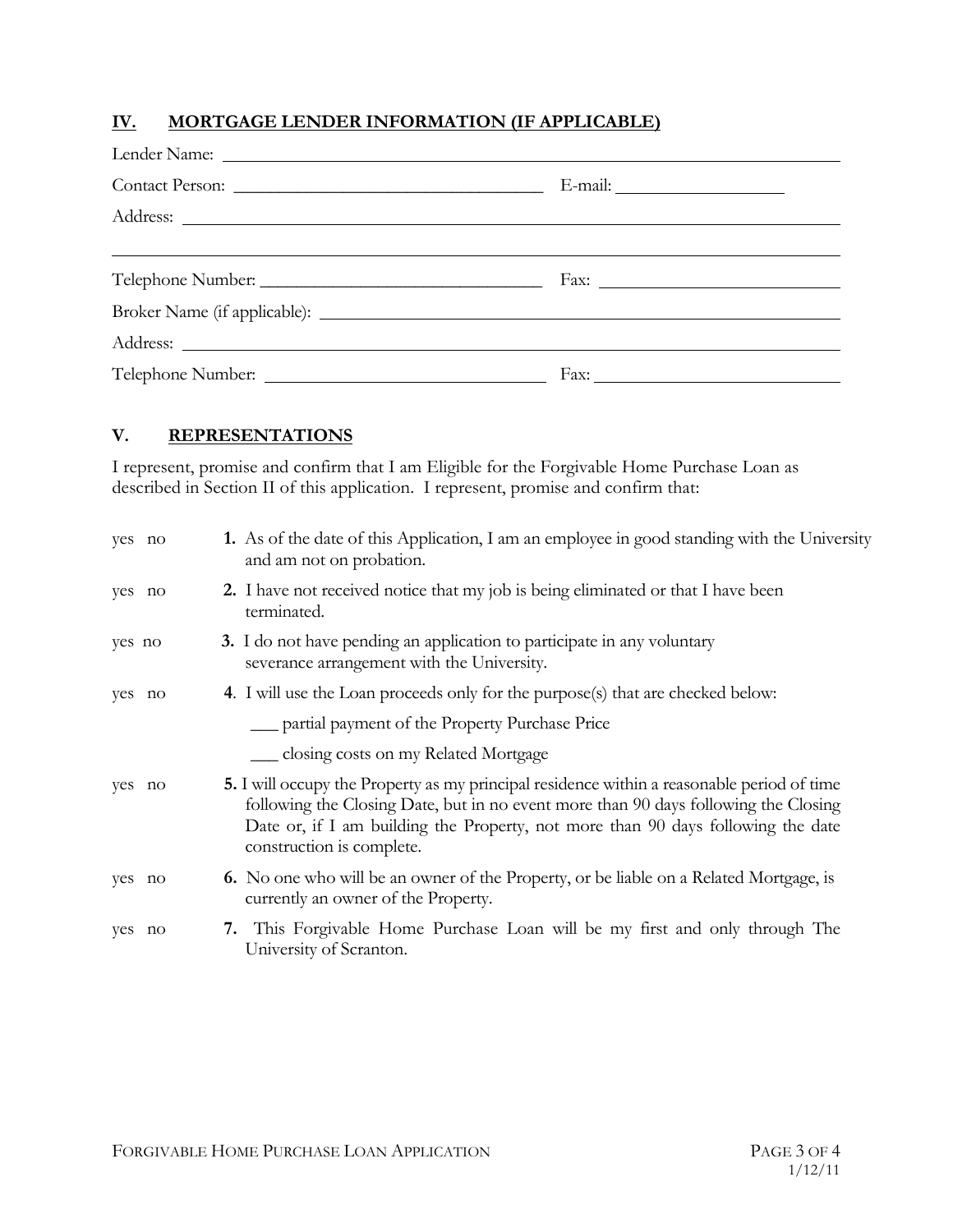## **IV. MORTGAGE LENDER INFORMATION (IF APPLICABLE)**

#### **V. REPRESENTATIONS**

I represent, promise and confirm that I am Eligible for the Forgivable Home Purchase Loan as described in Section II of this application. I represent, promise and confirm that:

| yes no | 1. As of the date of this Application, I am an employee in good standing with the University<br>and am not on probation.                                                                                                                                                                                  |
|--------|-----------------------------------------------------------------------------------------------------------------------------------------------------------------------------------------------------------------------------------------------------------------------------------------------------------|
| yes no | <b>2.</b> I have not received notice that my job is being eliminated or that I have been<br>terminated.                                                                                                                                                                                                   |
| yes no | 3. I do not have pending an application to participate in any voluntary<br>severance arrangement with the University.                                                                                                                                                                                     |
| yes no | 4. I will use the Loan proceeds only for the purpose(s) that are checked below:                                                                                                                                                                                                                           |
|        | <u>__</u> partial payment of the Property Purchase Price                                                                                                                                                                                                                                                  |
|        | __ closing costs on my Related Mortgage                                                                                                                                                                                                                                                                   |
| yes no | <b>5.</b> I will occupy the Property as my principal residence within a reasonable period of time<br>following the Closing Date, but in no event more than 90 days following the Closing<br>Date or, if I am building the Property, not more than 90 days following the date<br>construction is complete. |
| yes no | <b>6.</b> No one who will be an owner of the Property, or be liable on a Related Mortgage, is<br>currently an owner of the Property.                                                                                                                                                                      |
| yes no | 7. This Forgivable Home Purchase Loan will be my first and only through The<br>University of Scranton.                                                                                                                                                                                                    |